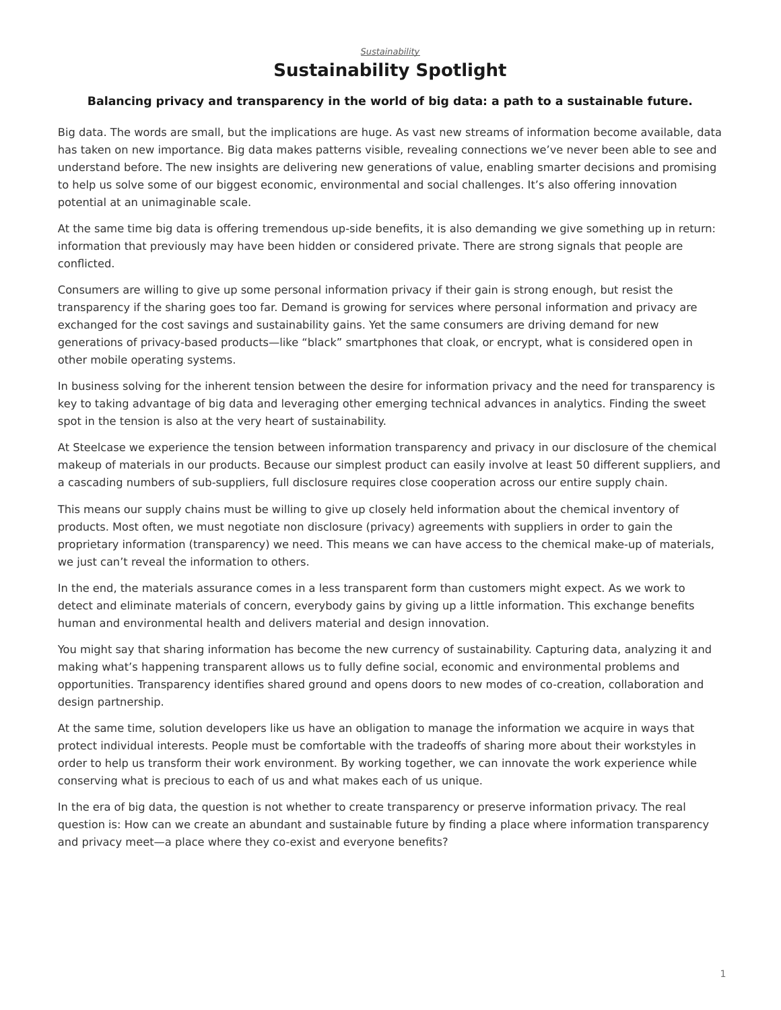## **Sustainability Spotlight**

## <span id="page-0-0"></span>**Balancing privacy and transparency in the world of big data: a path to a sustainable future.**

Big data. The words are small, but the implications are huge. As vast new streams of information become available, data has taken on new importance. Big data makes patterns visible, revealing connections we've never been able to see and understand before. The new insights are delivering new generations of value, enabling smarter decisions and promising to help us solve some of our biggest economic, environmental and social challenges. It's also offering innovation potential at an unimaginable scale.

At the same time big data is offering tremendous up-side benefits, it is also demanding we give something up in return: information that previously may have been hidden or considered private. There are strong signals that people are conflicted.

Consumers are willing to give up some personal information privacy if their gain is strong enough, but resist the transparency if the sharing goes too far. Demand is growing for services where personal information and privacy are exchanged for the cost savings and sustainability gains. Yet the same consumers are driving demand for new generations of privacy-based products—like "black" smartphones that cloak, or encrypt, what is considered open in other mobile operating systems.

In business solving for the inherent tension between the desire for information privacy and the need for transparency is key to taking advantage of big data and leveraging other emerging technical advances in analytics. Finding the sweet spot in the tension is also at the very heart of sustainability.

At Steelcase we experience the tension between information transparency and privacy in our disclosure of the chemical makeup of materials in our products. Because our simplest product can easily involve at least 50 different suppliers, and a cascading numbers of sub-suppliers, full disclosure requires close cooperation across our entire supply chain.

This means our supply chains must be willing to give up closely held information about the chemical inventory of products. Most often, we must negotiate non disclosure (privacy) agreements with suppliers in order to gain the proprietary information (transparency) we need. This means we can have access to the chemical make-up of materials, we just can't reveal the information to others.

In the end, the materials assurance comes in a less transparent form than customers might expect. As we work to detect and eliminate materials of concern, everybody gains by giving up a little information. This exchange benefits human and environmental health and delivers material and design innovation.

You might say that sharing information has become the new currency of sustainability. Capturing data, analyzing it and making what's happening transparent allows us to fully define social, economic and environmental problems and opportunities. Transparency identifies shared ground and opens doors to new modes of co-creation, collaboration and design partnership.

At the same time, solution developers like us have an obligation to manage the information we acquire in ways that protect individual interests. People must be comfortable with the tradeoffs of sharing more about their workstyles in order to help us transform their work environment. By working together, we can innovate the work experience while conserving what is precious to each of us and what makes each of us unique.

In the era of big data, the question is not whether to create transparency or preserve information privacy. The real question is: How can we create an abundant and sustainable future by finding a place where information transparency and privacy meet—a place where they co-exist and everyone benefits?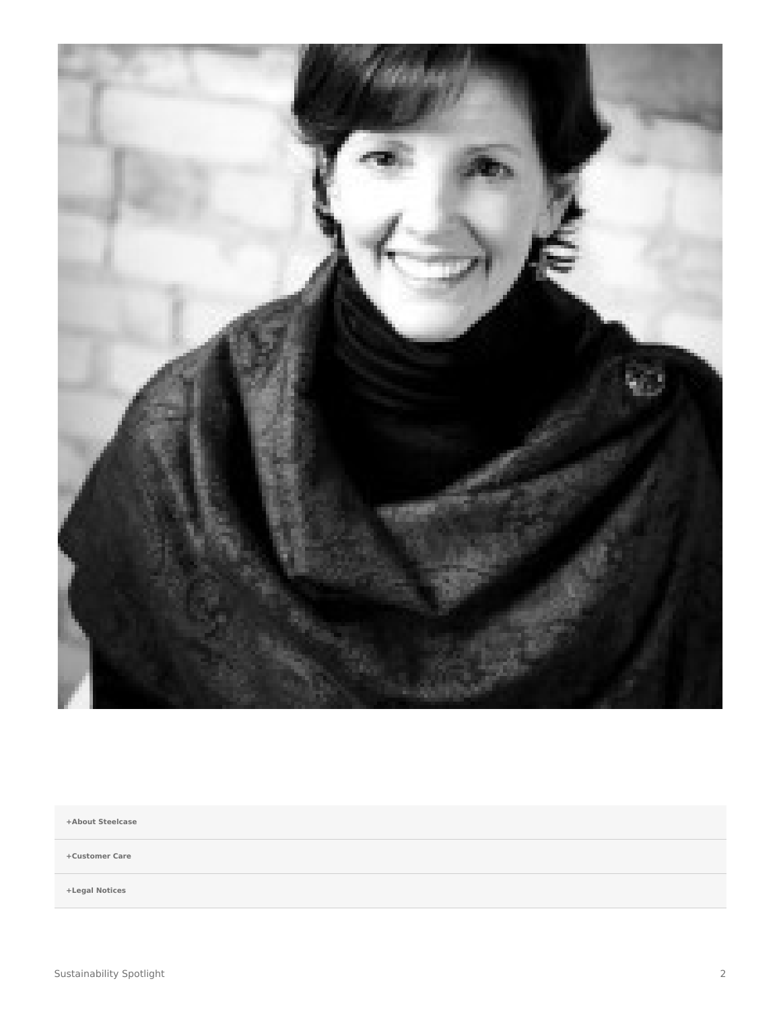

**[+About Steelcase](https://www.steelcase.com/discover/steelcase/our-company/)**

**[+Customer Care](#page-0-0)**

**[+Legal Notices](#page-0-0)**